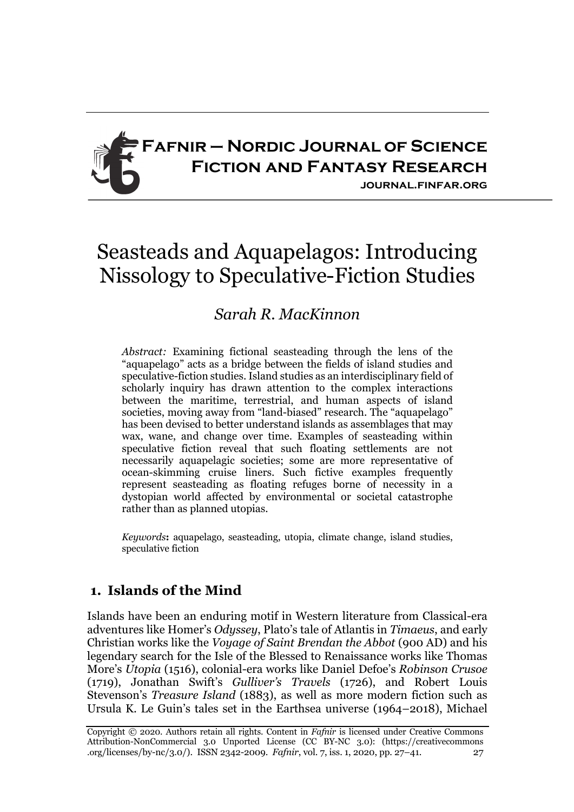

# Seasteads and Aquapelagos: Introducing Nissology to Speculative-Fiction Studies

# *Sarah R. MacKinnon*

*Abstract:* Examining fictional seasteading through the lens of the "aquapelago" acts as a bridge between the fields of island studies and speculative-fiction studies. Island studies as an interdisciplinary field of scholarly inquiry has drawn attention to the complex interactions between the maritime, terrestrial, and human aspects of island societies, moving away from "land-biased" research. The "aquapelago" has been devised to better understand islands as assemblages that may wax, wane, and change over time. Examples of seasteading within speculative fiction reveal that such floating settlements are not necessarily aquapelagic societies; some are more representative of ocean-skimming cruise liners. Such fictive examples frequently represent seasteading as floating refuges borne of necessity in a dystopian world affected by environmental or societal catastrophe rather than as planned utopias.

*Keywords***:** aquapelago, seasteading, utopia, climate change, island studies, speculative fiction

## **1. Islands of the Mind**

Islands have been an enduring motif in Western literature from Classical-era adventures like Homer's *Odyssey*, Plato's tale of Atlantis in *Timaeus*, and early Christian works like the *Voyage of Saint Brendan the Abbot* (900 AD) and his legendary search for the Isle of the Blessed to Renaissance works like Thomas More's *Utopia* (1516), colonial-era works like Daniel Defoe's *Robinson Crusoe* (1719), Jonathan Swift's *Gulliver's Travels* (1726), and Robert Louis Stevenson's *Treasure Island* (1883), as well as more modern fiction such as Ursula K. Le Guin's tales set in the Earthsea universe (1964–2018), Michael

Copyright © 2020. Authors retain all rights. Content in *Fafnir* is licensed under Creative Commons Attribution-NonCommercial 3.0 Unported License (CC BY-NC 3.0): (https://creativecommons .org/licenses/by-nc/3.0/). ISSN 2342-2009. *Fafnir*, vol. 7, iss. 1, 2020, pp. 27–41. 27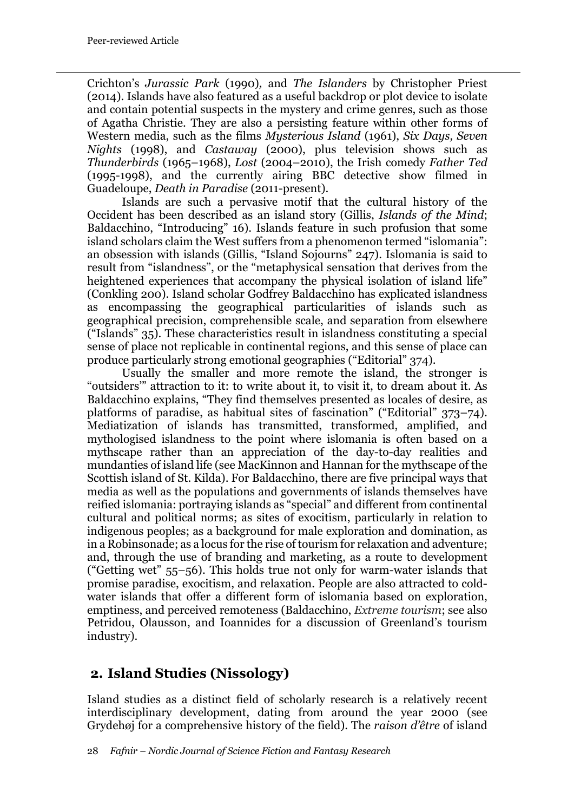Crichton's *Jurassic Park* (1990)*,* and *The Islanders* by Christopher Priest (2014). Islands have also featured as a useful backdrop or plot device to isolate and contain potential suspects in the mystery and crime genres, such as those of Agatha Christie. They are also a persisting feature within other forms of Western media, such as the films *Mysterious Island* (1961), *Six Days, Seven Nights* (1998), and *Castaway* (2000), plus television shows such as *Thunderbirds* (1965–1968), *Lost* (2004–2010), the Irish comedy *Father Ted* (1995-1998), and the currently airing BBC detective show filmed in Guadeloupe, *Death in Paradise* (2011-present).

Islands are such a pervasive motif that the cultural history of the Occident has been described as an island story (Gillis, *Islands of the Mind*; Baldacchino, "Introducing" 16). Islands feature in such profusion that some island scholars claim the West suffers from a phenomenon termed "islomania": an obsession with islands (Gillis, "Island Sojourns" 247). Islomania is said to result from "islandness", or the "metaphysical sensation that derives from the heightened experiences that accompany the physical isolation of island life" (Conkling 200). Island scholar Godfrey Baldacchino has explicated islandness as encompassing the geographical particularities of islands such as geographical precision, comprehensible scale, and separation from elsewhere ("Islands" 35). These characteristics result in islandness constituting a special sense of place not replicable in continental regions, and this sense of place can produce particularly strong emotional geographies ("Editorial" 374).

Usually the smaller and more remote the island, the stronger is "outsiders'" attraction to it: to write about it, to visit it, to dream about it. As Baldacchino explains, "They find themselves presented as locales of desire, as platforms of paradise, as habitual sites of fascination" ("Editorial" 373–74). Mediatization of islands has transmitted, transformed, amplified, and mythologised islandness to the point where islomania is often based on a mythscape rather than an appreciation of the day-to-day realities and mundanties of island life (see MacKinnon and Hannan for the mythscape of the Scottish island of St. Kilda). For Baldacchino, there are five principal ways that media as well as the populations and governments of islands themselves have reified islomania: portraying islands as "special" and different from continental cultural and political norms; as sites of exocitism, particularly in relation to indigenous peoples; as a background for male exploration and domination, as in a Robinsonade; as a locus for the rise of tourism for relaxation and adventure; and, through the use of branding and marketing, as a route to development ("Getting wet" 55–56). This holds true not only for warm-water islands that promise paradise, exocitism, and relaxation. People are also attracted to coldwater islands that offer a different form of islomania based on exploration, emptiness, and perceived remoteness (Baldacchino, *Extreme tourism*; see also Petridou, Olausson, and Ioannides for a discussion of Greenland's tourism industry).

## **2. Island Studies (Nissology)**

Island studies as a distinct field of scholarly research is a relatively recent interdisciplinary development, dating from around the year 2000 (see Grydehøj for a comprehensive history of the field). The *raison d'être* of island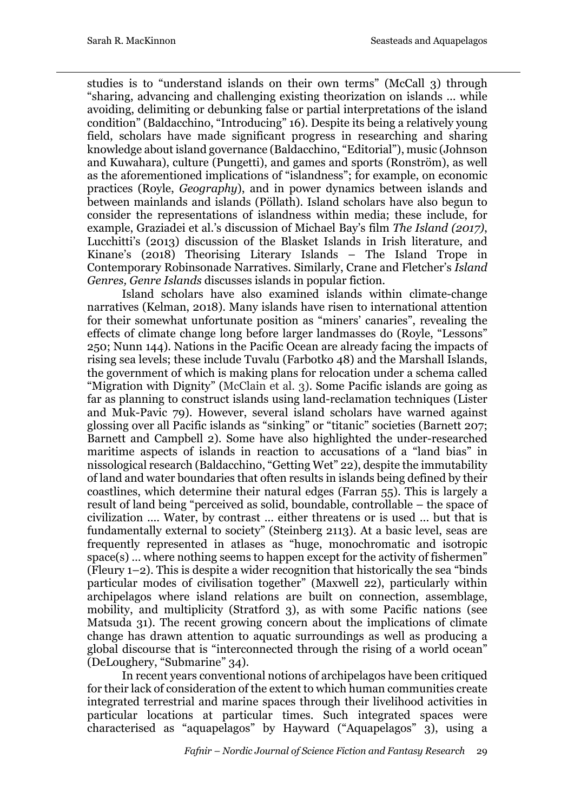studies is to "understand islands on their own terms" (McCall 3) through "sharing, advancing and challenging existing theorization on islands ... while avoiding, delimiting or debunking false or partial interpretations of the island condition" (Baldacchino, "Introducing" 16). Despite its being a relatively young field, scholars have made significant progress in researching and sharing knowledge about island governance (Baldacchino, "Editorial"), music (Johnson and Kuwahara), culture (Pungetti), and games and sports (Ronström), as well as the aforementioned implications of "islandness"; for example, on economic practices (Royle, *Geography*), and in power dynamics between islands and between mainlands and islands (Pöllath). Island scholars have also begun to consider the representations of islandness within media; these include, for example, Graziadei et al.'s discussion of Michael Bay's film *The Island (2017)*, Lucchitti's (2013) discussion of the Blasket Islands in Irish literature, and Kinane's (2018) Theorising Literary Islands – The Island Trope in Contemporary Robinsonade Narratives. Similarly, Crane and Fletcher's *Island Genres, Genre Islands* discusses islands in popular fiction.

Island scholars have also examined islands within climate-change narratives (Kelman, 2018). Many islands have risen to international attention for their somewhat unfortunate position as "miners' canaries", revealing the effects of climate change long before larger landmasses do (Royle, "Lessons" 250; Nunn 144). Nations in the Pacific Ocean are already facing the impacts of rising sea levels; these include Tuvalu (Farbotko 48) and the Marshall Islands, the government of which is making plans for relocation under a schema called "Migration with Dignity" (McClain et al. 3). Some Pacific islands are going as far as planning to construct islands using land-reclamation techniques (Lister and Muk-Pavic 79). However, several island scholars have warned against glossing over all Pacific islands as "sinking" or "titanic" societies (Barnett 207; Barnett and Campbell 2). Some have also highlighted the under-researched maritime aspects of islands in reaction to accusations of a "land bias" in nissological research (Baldacchino, "Getting Wet" 22), despite the immutability of land and water boundaries that often results in islands being defined by their coastlines, which determine their natural edges (Farran 55). This is largely a result of land being "perceived as solid, boundable, controllable – the space of civilization .... Water, by contrast ... either threatens or is used ... but that is fundamentally external to society" (Steinberg 2113). At a basic level, seas are frequently represented in atlases as "huge, monochromatic and isotropic space(s) … where nothing seems to happen except for the activity of fishermen" (Fleury 1–2). This is despite a wider recognition that historically the sea "binds particular modes of civilisation together" (Maxwell 22), particularly within archipelagos where island relations are built on connection, assemblage, mobility, and multiplicity (Stratford 3), as with some Pacific nations (see Matsuda 31). The recent growing concern about the implications of climate change has drawn attention to aquatic surroundings as well as producing a global discourse that is "interconnected through the rising of a world ocean" (DeLoughery, "Submarine" 34).

In recent years conventional notions of archipelagos have been critiqued for their lack of consideration of the extent to which human communities create integrated terrestrial and marine spaces through their livelihood activities in particular locations at particular times. Such integrated spaces were characterised as "aquapelagos" by Hayward ("Aquapelagos" 3), using a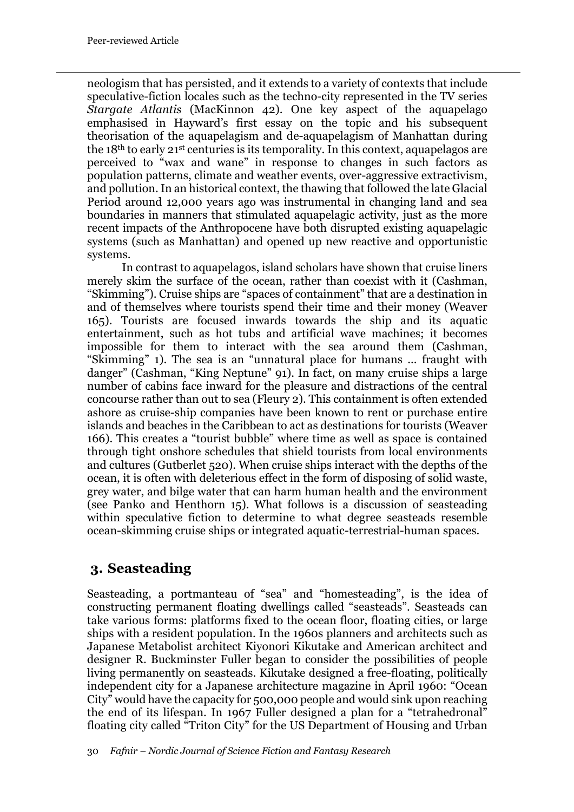neologism that has persisted, and it extends to a variety of contexts that include speculative-fiction locales such as the techno-city represented in the TV series *Stargate Atlantis* (MacKinnon 42). One key aspect of the aquapelago emphasised in Hayward's first essay on the topic and his subsequent theorisation of the aquapelagism and de-aquapelagism of Manhattan during the 18th to early 21st centuries is its temporality. In this context, aquapelagos are perceived to "wax and wane" in response to changes in such factors as population patterns, climate and weather events, over-aggressive extractivism, and pollution. In an historical context, the thawing that followed the late Glacial Period around 12,000 years ago was instrumental in changing land and sea boundaries in manners that stimulated aquapelagic activity, just as the more recent impacts of the Anthropocene have both disrupted existing aquapelagic systems (such as Manhattan) and opened up new reactive and opportunistic systems.

In contrast to aquapelagos, island scholars have shown that cruise liners merely skim the surface of the ocean, rather than coexist with it (Cashman, "Skimming"). Cruise ships are "spaces of containment" that are a destination in and of themselves where tourists spend their time and their money (Weaver 165). Tourists are focused inwards towards the ship and its aquatic entertainment, such as hot tubs and artificial wave machines; it becomes impossible for them to interact with the sea around them (Cashman, "Skimming" 1). The sea is an "unnatural place for humans ... fraught with danger" (Cashman, "King Neptune" 91). In fact, on many cruise ships a large number of cabins face inward for the pleasure and distractions of the central concourse rather than out to sea (Fleury 2). This containment is often extended ashore as cruise-ship companies have been known to rent or purchase entire islands and beaches in the Caribbean to act as destinations for tourists (Weaver 166). This creates a "tourist bubble" where time as well as space is contained through tight onshore schedules that shield tourists from local environments and cultures (Gutberlet 520). When cruise ships interact with the depths of the ocean, it is often with deleterious effect in the form of disposing of solid waste, grey water, and bilge water that can harm human health and the environment (see Panko and Henthorn 15). What follows is a discussion of seasteading within speculative fiction to determine to what degree seasteads resemble ocean-skimming cruise ships or integrated aquatic-terrestrial-human spaces.

## **3. Seasteading**

Seasteading, a portmanteau of "sea" and "homesteading", is the idea of constructing permanent floating dwellings called "seasteads". Seasteads can take various forms: platforms fixed to the ocean floor, floating cities, or large ships with a resident population. In the 1960s planners and architects such as Japanese Metabolist architect Kiyonori Kikutake and American architect and designer R. Buckminster Fuller began to consider the possibilities of people living permanently on seasteads. Kikutake designed a free-floating, politically independent city for a Japanese architecture magazine in April 1960: "Ocean City" would have the capacity for 500,000 people and would sink upon reaching the end of its lifespan. In 1967 Fuller designed a plan for a "tetrahedronal" floating city called "Triton City" for the US Department of Housing and Urban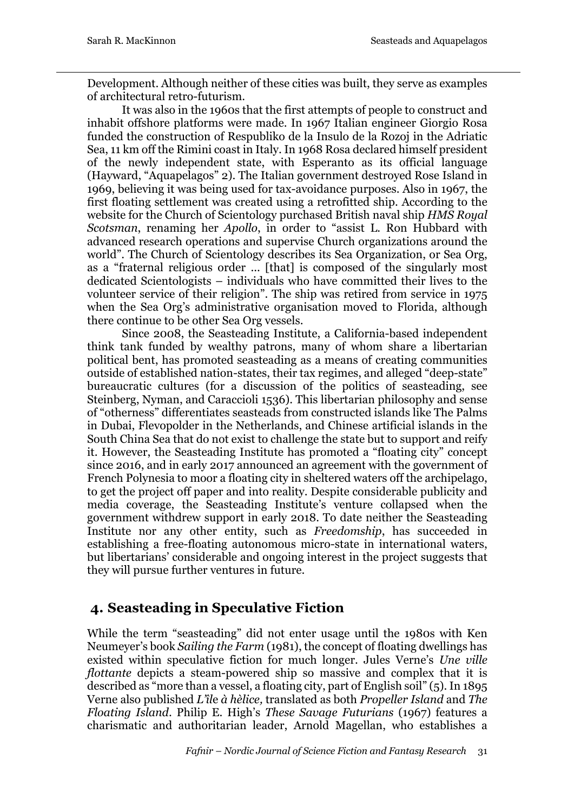Development. Although neither of these cities was built, they serve as examples of architectural retro-futurism.

It was also in the 1960s that the first attempts of people to construct and inhabit offshore platforms were made. In 1967 Italian engineer Giorgio Rosa funded the construction of Respubliko de la Insulo de la Rozoj in the Adriatic Sea, 11 km off the Rimini coast in Italy. In 1968 Rosa declared himself president of the newly independent state, with Esperanto as its official language (Hayward, "Aquapelagos" 2). The Italian government destroyed Rose Island in 1969, believing it was being used for tax-avoidance purposes. Also in 1967, the first floating settlement was created using a retrofitted ship. According to the website for the Church of Scientology purchased British naval ship *HMS Royal Scotsman*, renaming her *Apollo*, in order to "assist L. Ron Hubbard with advanced research operations and supervise Church organizations around the world". The Church of Scientology describes its Sea Organization, or Sea Org, as a "fraternal religious order ... [that] is composed of the singularly most dedicated Scientologists – individuals who have committed their lives to the volunteer service of their religion". The ship was retired from service in 1975 when the Sea Org's administrative organisation moved to Florida, although there continue to be other Sea Org vessels.

Since 2008, the Seasteading Institute, a California-based independent think tank funded by wealthy patrons, many of whom share a libertarian political bent, has promoted seasteading as a means of creating communities outside of established nation-states, their tax regimes, and alleged "deep-state" bureaucratic cultures (for a discussion of the politics of seasteading, see Steinberg, Nyman, and Caraccioli 1536). This libertarian philosophy and sense of "otherness" differentiates seasteads from constructed islands like The Palms in Dubai, Flevopolder in the Netherlands, and Chinese artificial islands in the South China Sea that do not exist to challenge the state but to support and reify it. However, the Seasteading Institute has promoted a "floating city" concept since 2016, and in early 2017 announced an agreement with the government of French Polynesia to moor a floating city in sheltered waters off the archipelago, to get the project off paper and into reality. Despite considerable publicity and media coverage, the Seasteading Institute's venture collapsed when the government withdrew support in early 2018. To date neither the Seasteading Institute nor any other entity, such as *Freedomship*, has succeeded in establishing a free-floating autonomous micro-state in international waters, but libertarians' considerable and ongoing interest in the project suggests that they will pursue further ventures in future.

## **4. Seasteading in Speculative Fiction**

While the term "seasteading" did not enter usage until the 1980s with Ken Neumeyer's book *Sailing the Farm* (1981), the concept of floating dwellings has existed within speculative fiction for much longer. Jules Verne's *Une ville flottante* depicts a steam-powered ship so massive and complex that it is described as "more than a vessel, a floating city, part of English soil" (5). In 1895 Verne also published *L'îl*e *à hèlice,* translated as both *Propeller Island* and *The Floating Island*. Philip E. High's *These Savage Futurians* (1967) features a charismatic and authoritarian leader, Arnold Magellan, who establishes a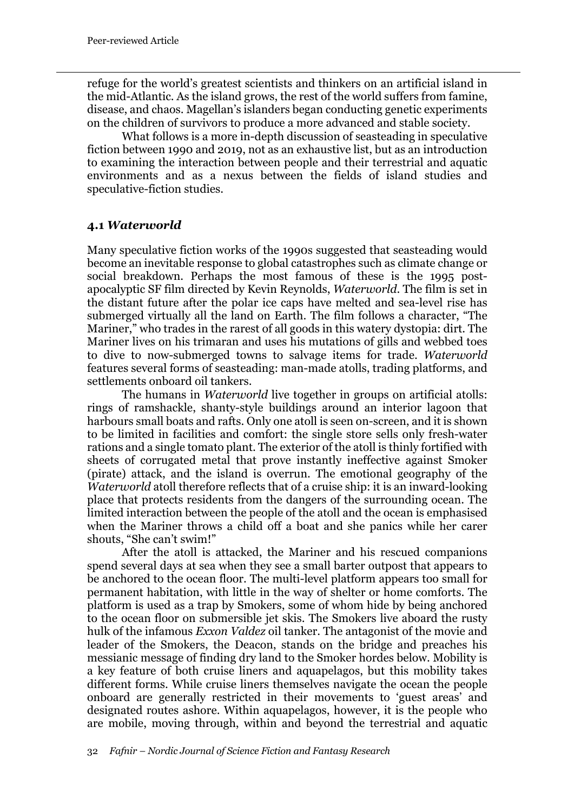refuge for the world's greatest scientists and thinkers on an artificial island in the mid-Atlantic. As the island grows, the rest of the world suffers from famine, disease, and chaos. Magellan's islanders began conducting genetic experiments on the children of survivors to produce a more advanced and stable society.

What follows is a more in-depth discussion of seasteading in speculative fiction between 1990 and 2019, not as an exhaustive list, but as an introduction to examining the interaction between people and their terrestrial and aquatic environments and as a nexus between the fields of island studies and speculative-fiction studies.

#### **4.1** *Waterworld*

Many speculative fiction works of the 1990s suggested that seasteading would become an inevitable response to global catastrophes such as climate change or social breakdown. Perhaps the most famous of these is the 1995 postapocalyptic SF film directed by Kevin Reynolds, *Waterworld*. The film is set in the distant future after the polar ice caps have melted and sea-level rise has submerged virtually all the land on Earth. The film follows a character, "The Mariner," who trades in the rarest of all goods in this watery dystopia: dirt. The Mariner lives on his trimaran and uses his mutations of gills and webbed toes to dive to now-submerged towns to salvage items for trade. *Waterworld* features several forms of seasteading: man-made atolls, trading platforms, and settlements onboard oil tankers.

The humans in *Waterworld* live together in groups on artificial atolls: rings of ramshackle, shanty-style buildings around an interior lagoon that harbours small boats and rafts. Only one atoll is seen on-screen, and it is shown to be limited in facilities and comfort: the single store sells only fresh-water rations and a single tomato plant. The exterior of the atoll is thinly fortified with sheets of corrugated metal that prove instantly ineffective against Smoker (pirate) attack, and the island is overrun. The emotional geography of the *Waterworld* atoll therefore reflects that of a cruise ship: it is an inward-looking place that protects residents from the dangers of the surrounding ocean. The limited interaction between the people of the atoll and the ocean is emphasised when the Mariner throws a child off a boat and she panics while her carer shouts, "She can't swim!"

After the atoll is attacked, the Mariner and his rescued companions spend several days at sea when they see a small barter outpost that appears to be anchored to the ocean floor. The multi-level platform appears too small for permanent habitation, with little in the way of shelter or home comforts. The platform is used as a trap by Smokers, some of whom hide by being anchored to the ocean floor on submersible jet skis. The Smokers live aboard the rusty hulk of the infamous *Exxon Valdez* oil tanker. The antagonist of the movie and leader of the Smokers, the Deacon, stands on the bridge and preaches his messianic message of finding dry land to the Smoker hordes below. Mobility is a key feature of both cruise liners and aquapelagos, but this mobility takes different forms. While cruise liners themselves navigate the ocean the people onboard are generally restricted in their movements to 'guest areas' and designated routes ashore. Within aquapelagos, however, it is the people who are mobile, moving through, within and beyond the terrestrial and aquatic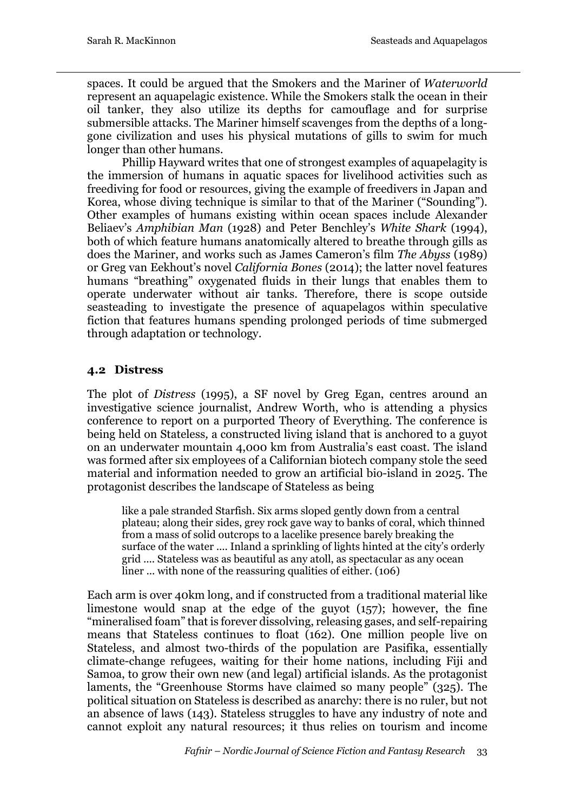spaces. It could be argued that the Smokers and the Mariner of *Waterworld*  represent an aquapelagic existence. While the Smokers stalk the ocean in their oil tanker, they also utilize its depths for camouflage and for surprise submersible attacks. The Mariner himself scavenges from the depths of a longgone civilization and uses his physical mutations of gills to swim for much longer than other humans.

Phillip Hayward writes that one of strongest examples of aquapelagity is the immersion of humans in aquatic spaces for livelihood activities such as freediving for food or resources, giving the example of freedivers in Japan and Korea, whose diving technique is similar to that of the Mariner ("Sounding"). Other examples of humans existing within ocean spaces include Alexander Beliaev's *Amphibian Man* (1928) and Peter Benchley's *White Shark* (1994), both of which feature humans anatomically altered to breathe through gills as does the Mariner, and works such as James Cameron's film *The Abyss* (1989) or Greg van Eekhout's novel *California Bones* (2014); the latter novel features humans "breathing" oxygenated fluids in their lungs that enables them to operate underwater without air tanks. Therefore, there is scope outside seasteading to investigate the presence of aquapelagos within speculative fiction that features humans spending prolonged periods of time submerged through adaptation or technology.

#### **4.2 Distress**

The plot of *Distress* (1995), a SF novel by Greg Egan, centres around an investigative science journalist, Andrew Worth, who is attending a physics conference to report on a purported Theory of Everything. The conference is being held on Stateless*,* a constructed living island that is anchored to a guyot on an underwater mountain 4,000 km from Australia's east coast. The island was formed after six employees of a Californian biotech company stole the seed material and information needed to grow an artificial bio-island in 2025. The protagonist describes the landscape of Stateless as being

like a pale stranded Starfish. Six arms sloped gently down from a central plateau; along their sides, grey rock gave way to banks of coral, which thinned from a mass of solid outcrops to a lacelike presence barely breaking the surface of the water .... Inland a sprinkling of lights hinted at the city's orderly grid .... Stateless was as beautiful as any atoll, as spectacular as any ocean liner ... with none of the reassuring qualities of either. (106)

Each arm is over 40km long, and if constructed from a traditional material like limestone would snap at the edge of the guyot (157); however, the fine "mineralised foam" that is forever dissolving, releasing gases, and self-repairing means that Stateless continues to float (162). One million people live on Stateless, and almost two-thirds of the population are Pasifika, essentially climate-change refugees, waiting for their home nations, including Fiji and Samoa, to grow their own new (and legal) artificial islands. As the protagonist laments, the "Greenhouse Storms have claimed so many people" (325). The political situation on Stateless is described as anarchy: there is no ruler, but not an absence of laws (143). Stateless struggles to have any industry of note and cannot exploit any natural resources; it thus relies on tourism and income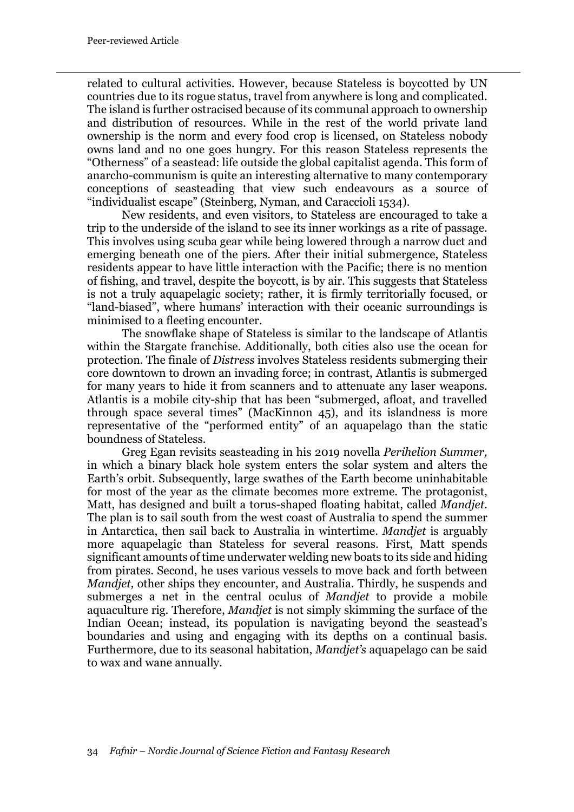related to cultural activities. However, because Stateless is boycotted by UN countries due to its rogue status, travel from anywhere is long and complicated. The island is further ostracised because of its communal approach to ownership and distribution of resources. While in the rest of the world private land ownership is the norm and every food crop is licensed, on Stateless nobody owns land and no one goes hungry. For this reason Stateless represents the "Otherness" of a seastead: life outside the global capitalist agenda. This form of anarcho-communism is quite an interesting alternative to many contemporary conceptions of seasteading that view such endeavours as a source of "individualist escape" (Steinberg, Nyman, and Caraccioli 1534).

New residents, and even visitors, to Stateless are encouraged to take a trip to the underside of the island to see its inner workings as a rite of passage. This involves using scuba gear while being lowered through a narrow duct and emerging beneath one of the piers. After their initial submergence, Stateless residents appear to have little interaction with the Pacific; there is no mention of fishing, and travel, despite the boycott, is by air. This suggests that Stateless is not a truly aquapelagic society; rather, it is firmly territorially focused, or "land-biased", where humans' interaction with their oceanic surroundings is minimised to a fleeting encounter.

The snowflake shape of Stateless is similar to the landscape of Atlantis within the Stargate franchise. Additionally, both cities also use the ocean for protection. The finale of *Distress* involves Stateless residents submerging their core downtown to drown an invading force; in contrast, Atlantis is submerged for many years to hide it from scanners and to attenuate any laser weapons. Atlantis is a mobile city-ship that has been "submerged, afloat, and travelled through space several times" (MacKinnon 45), and its islandness is more representative of the "performed entity" of an aquapelago than the static boundness of Stateless.

Greg Egan revisits seasteading in his 2019 novella *Perihelion Summer,*  in which a binary black hole system enters the solar system and alters the Earth's orbit. Subsequently, large swathes of the Earth become uninhabitable for most of the year as the climate becomes more extreme. The protagonist, Matt, has designed and built a torus-shaped floating habitat, called *Mandjet*. The plan is to sail south from the west coast of Australia to spend the summer in Antarctica, then sail back to Australia in wintertime. *Mandjet* is arguably more aquapelagic than Stateless for several reasons. First, Matt spends significant amounts of time underwater welding new boats to its side and hiding from pirates. Second, he uses various vessels to move back and forth between *Mandjet*, other ships they encounter, and Australia. Thirdly, he suspends and submerges a net in the central oculus of *Mandjet* to provide a mobile aquaculture rig. Therefore, *Mandjet* is not simply skimming the surface of the Indian Ocean; instead, its population is navigating beyond the seastead's boundaries and using and engaging with its depths on a continual basis. Furthermore, due to its seasonal habitation, *Mandjet's* aquapelago can be said to wax and wane annually.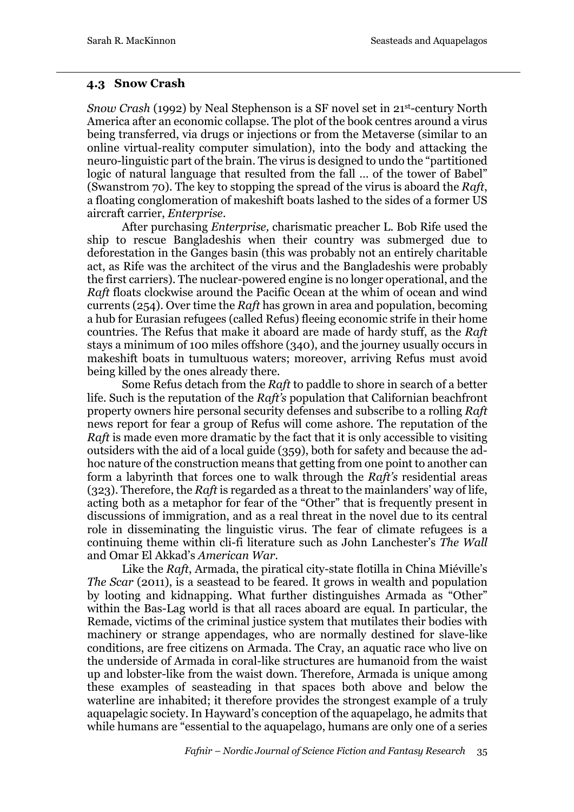#### **4.3 Snow Crash**

*Snow Crash* (1992) by Neal Stephenson is a SF novel set in 21st-century North America after an economic collapse. The plot of the book centres around a virus being transferred, via drugs or injections or from the Metaverse (similar to an online virtual-reality computer simulation), into the body and attacking the neuro-linguistic part of the brain. The virus is designed to undo the "partitioned logic of natural language that resulted from the fall … of the tower of Babel" (Swanstrom 70). The key to stopping the spread of the virus is aboard the *Raft*, a floating conglomeration of makeshift boats lashed to the sides of a former US aircraft carrier, *Enterprise*.

After purchasing *Enterprise,* charismatic preacher L. Bob Rife used the ship to rescue Bangladeshis when their country was submerged due to deforestation in the Ganges basin (this was probably not an entirely charitable act, as Rife was the architect of the virus and the Bangladeshis were probably the first carriers). The nuclear-powered engine is no longer operational, and the *Raft* floats clockwise around the Pacific Ocean at the whim of ocean and wind currents (254). Over time the *Raft* has grown in area and population, becoming a hub for Eurasian refugees (called Refus) fleeing economic strife in their home countries. The Refus that make it aboard are made of hardy stuff, as the *Raft* stays a minimum of 100 miles offshore (340), and the journey usually occurs in makeshift boats in tumultuous waters; moreover, arriving Refus must avoid being killed by the ones already there.

Some Refus detach from the *Raft* to paddle to shore in search of a better life. Such is the reputation of the *Raft's* population that Californian beachfront property owners hire personal security defenses and subscribe to a rolling *Raft* news report for fear a group of Refus will come ashore. The reputation of the *Raft* is made even more dramatic by the fact that it is only accessible to visiting outsiders with the aid of a local guide (359), both for safety and because the adhoc nature of the construction means that getting from one point to another can form a labyrinth that forces one to walk through the *Raft's* residential areas (323). Therefore, the *Raft* is regarded as a threat to the mainlanders' way of life, acting both as a metaphor for fear of the "Other" that is frequently present in discussions of immigration, and as a real threat in the novel due to its central role in disseminating the linguistic virus. The fear of climate refugees is a continuing theme within cli-fi literature such as John Lanchester's *The Wall* and Omar El Akkad's *American War*.

Like the *Raft*, Armada, the piratical city-state flotilla in China Miéville's *The Scar* (2011), is a seastead to be feared. It grows in wealth and population by looting and kidnapping. What further distinguishes Armada as "Other" within the Bas-Lag world is that all races aboard are equal. In particular, the Remade, victims of the criminal justice system that mutilates their bodies with machinery or strange appendages, who are normally destined for slave-like conditions, are free citizens on Armada. The Cray, an aquatic race who live on the underside of Armada in coral-like structures are humanoid from the waist up and lobster-like from the waist down. Therefore, Armada is unique among these examples of seasteading in that spaces both above and below the waterline are inhabited; it therefore provides the strongest example of a truly aquapelagic society. In Hayward's conception of the aquapelago, he admits that while humans are "essential to the aquapelago, humans are only one of a series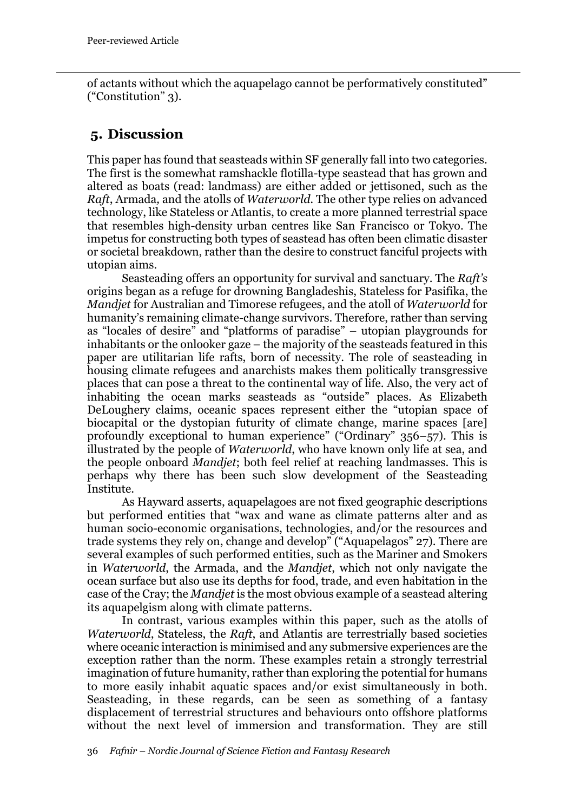of actants without which the aquapelago cannot be performatively constituted" ("Constitution" 3).

### **5. Discussion**

This paper has found that seasteads within SF generally fall into two categories. The first is the somewhat ramshackle flotilla-type seastead that has grown and altered as boats (read: landmass) are either added or jettisoned, such as the *Raft*, Armada*,* and the atolls of *Waterworld.* The other type relies on advanced technology, like Stateless or Atlantis, to create a more planned terrestrial space that resembles high-density urban centres like San Francisco or Tokyo. The impetus for constructing both types of seastead has often been climatic disaster or societal breakdown, rather than the desire to construct fanciful projects with utopian aims.

Seasteading offers an opportunity for survival and sanctuary. The *Raft's*  origins began as a refuge for drowning Bangladeshis, Stateless for Pasifika, the *Mandjet* for Australian and Timorese refugees, and the atoll of *Waterworld* for humanity's remaining climate-change survivors. Therefore, rather than serving as "locales of desire" and "platforms of paradise" – utopian playgrounds for inhabitants or the onlooker gaze – the majority of the seasteads featured in this paper are utilitarian life rafts, born of necessity. The role of seasteading in housing climate refugees and anarchists makes them politically transgressive places that can pose a threat to the continental way of life. Also, the very act of inhabiting the ocean marks seasteads as "outside" places. As Elizabeth DeLoughery claims, oceanic spaces represent either the "utopian space of biocapital or the dystopian futurity of climate change, marine spaces [are] profoundly exceptional to human experience" ("Ordinary" 356–57). This is illustrated by the people of *Waterworld*, who have known only life at sea, and the people onboard *Mandjet*; both feel relief at reaching landmasses. This is perhaps why there has been such slow development of the Seasteading Institute.

As Hayward asserts, aquapelagoes are not fixed geographic descriptions but performed entities that "wax and wane as climate patterns alter and as human socio-economic organisations, technologies, and/or the resources and trade systems they rely on, change and develop" ("Aquapelagos" 27). There are several examples of such performed entities, such as the Mariner and Smokers in *Waterworld*, the Armada, and the *Mandjet*, which not only navigate the ocean surface but also use its depths for food, trade, and even habitation in the case of the Cray; the *Mandjet* is the most obvious example of a seastead altering its aquapelgism along with climate patterns.

In contrast, various examples within this paper, such as the atolls of *Waterworld*, Stateless, the *Raft*, and Atlantis are terrestrially based societies where oceanic interaction is minimised and any submersive experiences are the exception rather than the norm. These examples retain a strongly terrestrial imagination of future humanity, rather than exploring the potential for humans to more easily inhabit aquatic spaces and/or exist simultaneously in both. Seasteading, in these regards, can be seen as something of a fantasy displacement of terrestrial structures and behaviours onto offshore platforms without the next level of immersion and transformation. They are still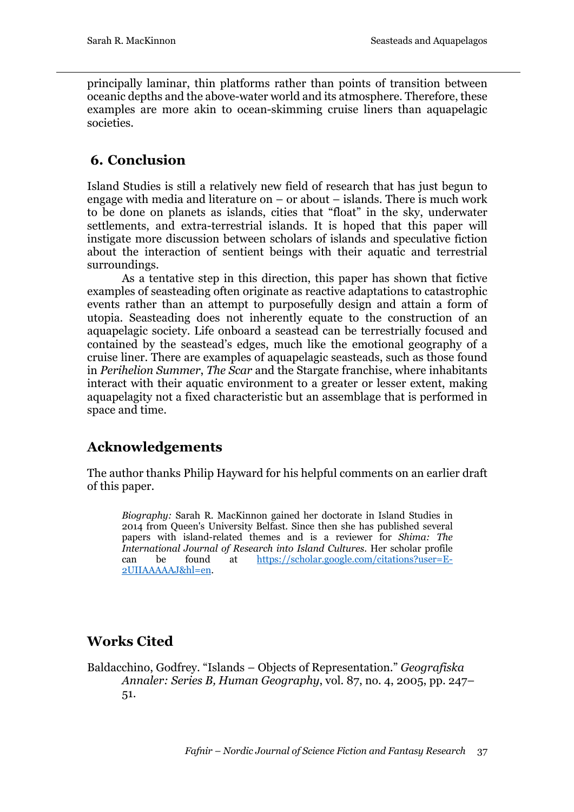principally laminar, thin platforms rather than points of transition between oceanic depths and the above-water world and its atmosphere. Therefore, these examples are more akin to ocean-skimming cruise liners than aquapelagic societies.

## **6. Conclusion**

Island Studies is still a relatively new field of research that has just begun to engage with media and literature on – or about – islands. There is much work to be done on planets as islands, cities that "float" in the sky, underwater settlements, and extra-terrestrial islands. It is hoped that this paper will instigate more discussion between scholars of islands and speculative fiction about the interaction of sentient beings with their aquatic and terrestrial surroundings.

As a tentative step in this direction, this paper has shown that fictive examples of seasteading often originate as reactive adaptations to catastrophic events rather than an attempt to purposefully design and attain a form of utopia. Seasteading does not inherently equate to the construction of an aquapelagic society. Life onboard a seastead can be terrestrially focused and contained by the seastead's edges, much like the emotional geography of a cruise liner. There are examples of aquapelagic seasteads, such as those found in *Perihelion Summer*, *The Scar* and the Stargate franchise, where inhabitants interact with their aquatic environment to a greater or lesser extent, making aquapelagity not a fixed characteristic but an assemblage that is performed in space and time.

## **Acknowledgements**

The author thanks Philip Hayward for his helpful comments on an earlier draft of this paper.

*Biography:* Sarah R. MacKinnon gained her doctorate in Island Studies in 2014 from Queen's University Belfast. Since then she has published several papers with island-related themes and is a reviewer for *Shima: The International Journal of Research into Island Cultures*. Her scholar profile can be found at https://scholar.google.com/citations?user=E-2UIIAAAAAJ&hl=en.

# **Works Cited**

Baldacchino, Godfrey. "Islands – Objects of Representation." *Geografiska Annaler: Series B, Human Geography*, vol. 87, no. 4, 2005, pp. 247– 51.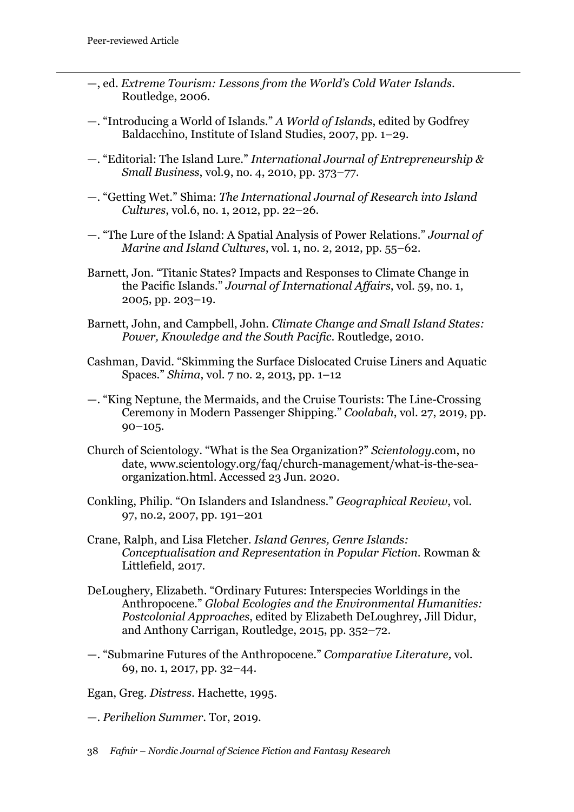- —, ed. *Extreme Tourism: Lessons from the World's Cold Water Islands*. Routledge, 2006.
- —. "Introducing a World of Islands." *A World of Islands*, edited by Godfrey Baldacchino, Institute of Island Studies, 2007, pp. 1–29.
- —. "Editorial: The Island Lure." *International Journal of Entrepreneurship & Small Business*, vol.9, no. 4, 2010, pp. 373–77.
- —. "Getting Wet." Shima: *The International Journal of Research into Island Cultures*, vol.6, no. 1, 2012, pp. 22–26.
- —. "The Lure of the Island: A Spatial Analysis of Power Relations." *Journal of Marine and Island Cultures*, vol. 1, no. 2, 2012, pp. 55–62.
- Barnett, Jon. "Titanic States? Impacts and Responses to Climate Change in the Pacific Islands." *Journal of International Affairs*, vol. 59, no. 1, 2005, pp. 203–19.
- Barnett, John, and Campbell, John. *Climate Change and Small Island States: Power, Knowledge and the South Pacific*. Routledge, 2010.
- Cashman, David. "Skimming the Surface Dislocated Cruise Liners and Aquatic Spaces." *Shima*, vol. 7 no. 2, 2013, pp. 1–12
- —. "King Neptune, the Mermaids, and the Cruise Tourists: The Line-Crossing Ceremony in Modern Passenger Shipping." *Coolabah*, vol. 27, 2019, pp.  $90-105.$
- Church of Scientology. "What is the Sea Organization?" *Scientology.*com, no date, www.scientology.org/faq/church-management/what-is-the-seaorganization.html. Accessed 23 Jun. 2020.
- Conkling, Philip. "On Islanders and Islandness." *Geographical Review*, vol. 97, no.2, 2007, pp. 191–201
- Crane, Ralph, and Lisa Fletcher. *Island Genres, Genre Islands: Conceptualisation and Representation in Popular Fiction*. Rowman & Littlefield, 2017.
- DeLoughery, Elizabeth. "Ordinary Futures: Interspecies Worldings in the Anthropocene." *Global Ecologies and the Environmental Humanities: Postcolonial Approaches*, edited by Elizabeth DeLoughrey, Jill Didur, and Anthony Carrigan, Routledge, 2015, pp. 352–72.
- —. "Submarine Futures of the Anthropocene." *Comparative Literature,* vol. 69, no. 1, 2017, pp. 32–44.

Egan, Greg. *Distress*. Hachette, 1995.

- —. *Perihelion Summer*. Tor, 2019.
- 38 *Fafnir – Nordic Journal of Science Fiction and Fantasy Research*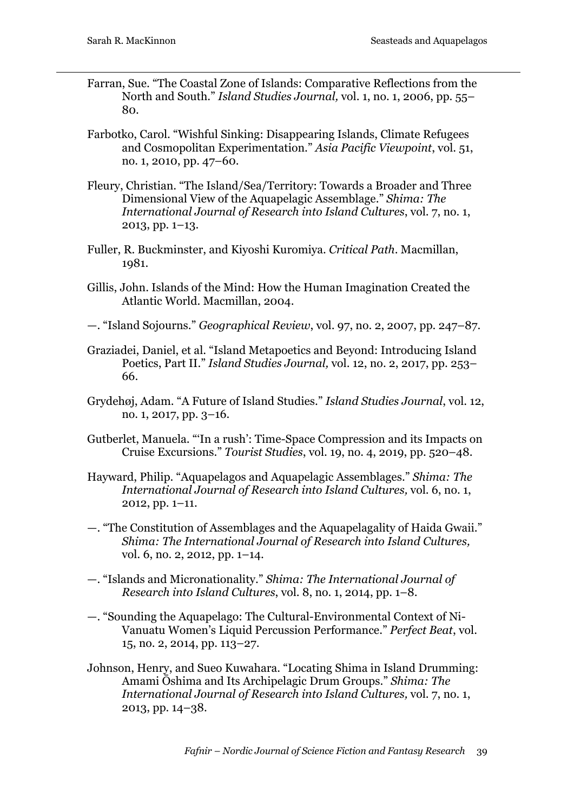- Farran, Sue. "The Coastal Zone of Islands: Comparative Reflections from the North and South." *Island Studies Journal,* vol. 1, no. 1, 2006, pp. 55– 80.
- Farbotko, Carol. "Wishful Sinking: Disappearing Islands, Climate Refugees and Cosmopolitan Experimentation." *Asia Pacific Viewpoint*, vol. 51, no. 1, 2010, pp. 47–60.
- Fleury, Christian. "The Island/Sea/Territory: Towards a Broader and Three Dimensional View of the Aquapelagic Assemblage." *Shima: The International Journal of Research into Island Cultures*, vol. 7, no. 1, 2013, pp. 1–13.
- Fuller, R. Buckminster, and Kiyoshi Kuromiya. *Critical Path*. Macmillan, 1981.
- Gillis, John. Islands of the Mind: How the Human Imagination Created the Atlantic World. Macmillan, 2004.
- —. "Island Sojourns." *Geographical Review*, vol. 97, no. 2, 2007, pp. 247–87.
- Graziadei, Daniel, et al. "Island Metapoetics and Beyond: Introducing Island Poetics, Part II." *Island Studies Journal,* vol. 12, no. 2, 2017, pp. 253– 66.
- Grydehøj, Adam. "A Future of Island Studies." *Island Studies Journal*, vol. 12, no. 1, 2017, pp. 3–16.
- Gutberlet, Manuela. "'In a rush': Time-Space Compression and its Impacts on Cruise Excursions." *Tourist Studies*, vol. 19, no. 4, 2019, pp. 520–48.
- Hayward, Philip. "Aquapelagos and Aquapelagic Assemblages." *Shima: The International Journal of Research into Island Cultures,* vol. 6, no. 1, 2012, pp. 1–11.
- —. "The Constitution of Assemblages and the Aquapelagality of Haida Gwaii." *Shima: The International Journal of Research into Island Cultures,*  vol*.* 6, no. 2, 2012, pp. 1–14.
- —. "Islands and Micronationality." *Shima: The International Journal of Research into Island Cultures*, vol. 8, no. 1, 2014, pp. 1–8.
- —. "Sounding the Aquapelago: The Cultural-Environmental Context of Ni-Vanuatu Women's Liquid Percussion Performance." *Perfect Beat*, vol. 15, no. 2, 2014, pp. 113–27.
- Johnson, Henry, and Sueo Kuwahara. "Locating Shima in Island Drumming: Amami Ōshima and Its Archipelagic Drum Groups." *Shima: The International Journal of Research into Island Cultures,* vol. 7, no. 1, 2013, pp. 14–38.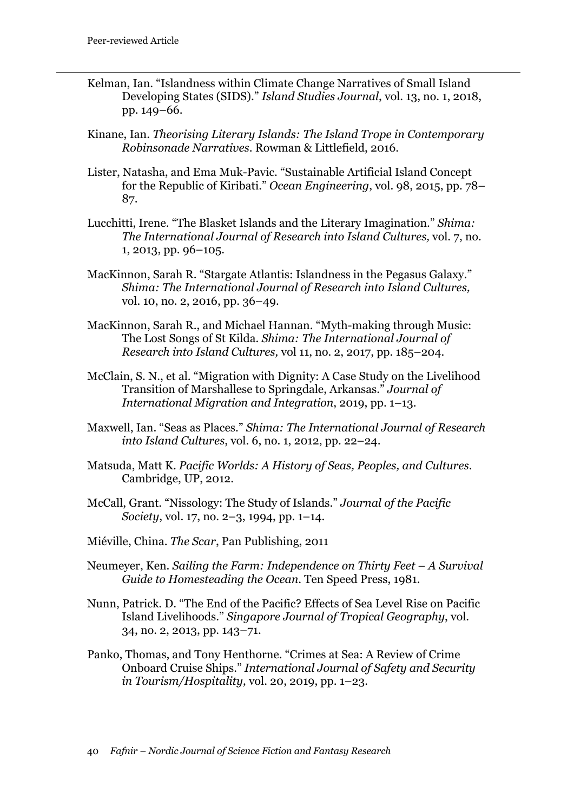- Kelman, Ian. "Islandness within Climate Change Narratives of Small Island Developing States (SIDS)." *Island Studies Journal*, vol. 13, no. 1, 2018, pp. 149–66.
- Kinane, Ian. *Theorising Literary Islands: The Island Trope in Contemporary Robinsonade Narratives*. Rowman & Littlefield, 2016.
- Lister, Natasha, and Ema Muk-Pavic. "Sustainable Artificial Island Concept for the Republic of Kiribati." *Ocean Engineering*, vol. 98, 2015, pp. 78– 87.
- Lucchitti, Irene. "The Blasket Islands and the Literary Imagination." *Shima: The International Journal of Research into Island Cultures,* vol. 7, no. 1, 2013, pp. 96–105.
- MacKinnon, Sarah R. "Stargate Atlantis: Islandness in the Pegasus Galaxy." *Shima: The International Journal of Research into Island Cultures,*  vol. 10, no. 2, 2016, pp. 36–49.
- MacKinnon, Sarah R., and Michael Hannan. "Myth-making through Music: The Lost Songs of St Kilda. *Shima: The International Journal of Research into Island Cultures,* vol 11, no. 2, 2017, pp. 185–204.
- McClain, S. N., et al. "Migration with Dignity: A Case Study on the Livelihood Transition of Marshallese to Springdale, Arkansas." *Journal of International Migration and Integration*, 2019, pp. 1–13.
- Maxwell, Ian. "Seas as Places." *Shima: The International Journal of Research into Island Cultures*, vol. 6, no. 1, 2012, pp. 22–24.
- Matsuda, Matt K. *Pacific Worlds: A History of Seas, Peoples, and Cultures*. Cambridge, UP, 2012.
- McCall, Grant. "Nissology: The Study of Islands." *Journal of the Pacific Society*, vol. 17, no. 2–3, 1994, pp. 1–14.
- Miéville, China. *The Scar*, Pan Publishing, 2011
- Neumeyer, Ken. *Sailing the Farm: Independence on Thirty Feet – A Survival Guide to Homesteading the Ocean*. Ten Speed Press, 1981.
- Nunn, Patrick. D. "The End of the Pacific? Effects of Sea Level Rise on Pacific Island Livelihoods." *Singapore Journal of Tropical Geography*, vol. 34, no. 2, 2013, pp. 143–71.
- Panko, Thomas, and Tony Henthorne. "Crimes at Sea: A Review of Crime Onboard Cruise Ships." *International Journal of Safety and Security in Tourism/Hospitality,* vol. 20, 2019, pp. 1–23.